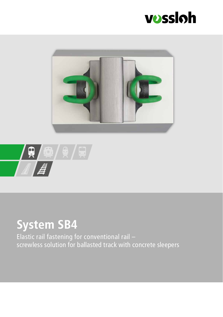





### **System SB4**

Elastic rail fastening for conventional rail – screwless solution for ballasted track with concrete sleepers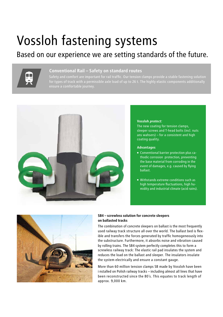## Vossloh fastening systems

### Based on our experience we are setting standards of the future.



#### **Conventional Rail – Safety on standard routes**

for types of track with a permissible axle load of up to 26 t. The highly elastic components additionally



#### **Vossloh** *protect:*

The new coating for tension clamps, sleeper screws and T-head bolts (incl. nuts ans wahsers) – for a consistent and high coating quality.

#### **Advantages**

- Conventional barrier protection plus cathodic corrosion protection, preventing the base material from corroding in the event of damages, e.g. caused by flying ballast.
- Withstands extreme conditions such as high temperature fluctuations, high humidity and industrial climate (acid rains).



#### **SB4 – screwless solution for concrete sleepers on ballasted tracks**

The combination of concrete sleepers on ballast is the most frequently used railway track structure all over the world. The ballast bed is flexible and transfers the forces generated by traffic homogeneously into the substructure. Furthermore, it absorbs noise and vibration caused by rolling trains. The SB4 system perfectly completes this to form a screwless railway track: The elastic rail pad insulates the system and reduces the load on the ballast and sleeper. The insulators insulate the system electrically and ensure a constant gauge.

More than 60 million tension clamps SB made by Vossloh have been i nstalled on Polish railway tracks – including almost all lines that have been reconstructed since the 80´s. This equates to track length of approx. 9,000 km.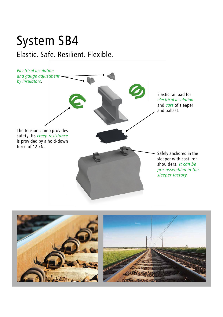### System SB4 Elastic. Safe. Resilient. Flexible.